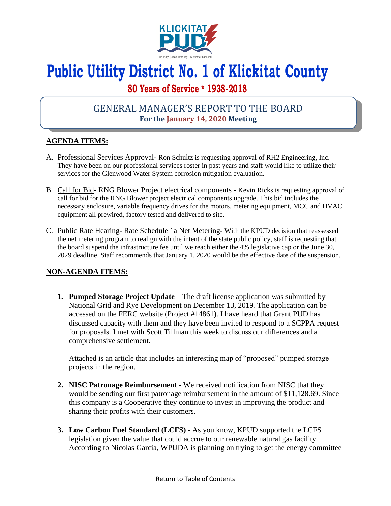

# **Public Utility District No. 1 of Klickitat County**

## **80 Years of Service \* 1938-2018**

## GENERAL MANAGER'S REPORT TO THE BOARD **For the January 14, 2020 Meeting**

### **AGENDA ITEMS:**

- A. Professional Services Approval- Ron Schultz is requesting approval of RH2 Engineering, Inc. They have been on our professional services roster in past years and staff would like to utilize their services for the Glenwood Water System corrosion mitigation evaluation.
- B. Call for Bid- RNG Blower Project electrical components Kevin Ricks is requesting approval of call for bid for the RNG Blower project electrical components upgrade. This bid includes the necessary enclosure, variable frequency drives for the motors, metering equipment, MCC and HVAC equipment all prewired, factory tested and delivered to site.
- C. Public Rate Hearing- Rate Schedule 1a Net Metering- With the KPUD decision that reassessed the net metering program to realign with the intent of the state public policy, staff is requesting that the board suspend the infrastructure fee until we reach either the 4% legislative cap or the June 30, 2029 deadline. Staff recommends that January 1, 2020 would be the effective date of the suspension.

### **NON-AGENDA ITEMS:**

**1. Pumped Storage Project Update** – The draft license application was submitted by National Grid and Rye Development on December 13, 2019. The application can be accessed on the FERC website (Project #14861). I have heard that Grant PUD has discussed capacity with them and they have been invited to respond to a SCPPA request for proposals. I met with Scott Tillman this week to discuss our differences and a comprehensive settlement.

Attached is an article that includes an interesting map of "proposed" pumped storage projects in the region.

- **2. NISC Patronage Reimbursement**  We received notification from NISC that they would be sending our first patronage reimbursement in the amount of \$11,128.69. Since this company is a Cooperative they continue to invest in improving the product and sharing their profits with their customers.
- **3. Low Carbon Fuel Standard (LCFS)** As you know, KPUD supported the LCFS legislation given the value that could accrue to our renewable natural gas facility. According to Nicolas Garcia, WPUDA is planning on trying to get the energy committee